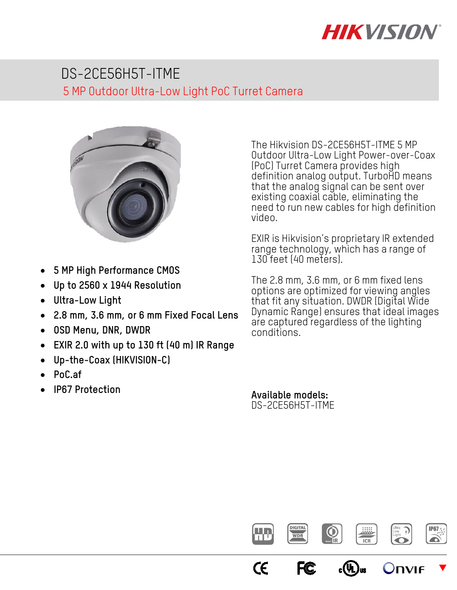# **HIKVISION**

# DS-2CE56H5T-ITME 5 MP Outdoor Ultra-Low Light PoC Turret Camera



- **5 MP High Performance CMOS**
- **Up to 2560 x 1944 Resolution**
- **Ultra-Low Light**
- **2.8 mm, 3.6 mm, or 6 mm Fixed Focal Lens**
- **OSD Menu, DNR, DWDR**
- **EXIR 2.0 with up to 130 ft (40 m) IR Range**
- **Up-the-Coax (HIKVISION-C)**
- **PoC.af**
- **IP67 Protection**

The Hikvision DS-2CE56H5T-ITME 5 MP Outdoor Ultra-Low Light Power-over-Coax (PoC) Turret Camera provides high definition analog output. TurboHD means that the analog signal can be sent over existing coaxial cable, eliminating the need to run new cables for high definition video.

EXIR is Hikvision's proprietary IR extended range technology, which has a range of 130 feet (40 meters).

The 2.8 mm, 3.6 mm, or 6 mm fixed lens options are optimized for viewing angles that fit any situation. DWDR (Digital Wide Dynamic Range) ensures that ideal images are captured regardless of the lighting conditions.

**Available models:** DS-2CE56H5T-ITME

CE

**FC** 



 $_{c}(\Psi _{\text{L}})_{\text{us}}$ 

 $\blacktriangledown$ 

JNVIF